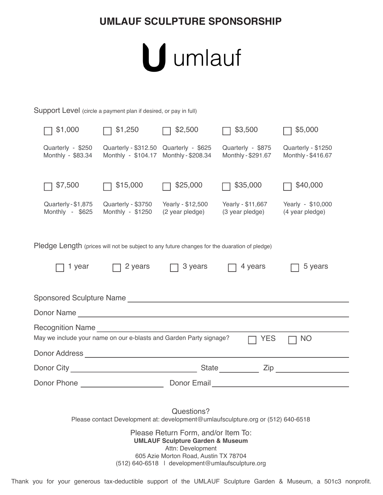## **UMLAUF SCULPTURE SPONSORSHIP**



Support Level (circle a payment plan if desired, or pay in full)

| \$1,000                                                                                                                                                                                                                                                                                                | \$1,250                                                                                                                 | \$2,500                              | \$3,500                                 | \$5,000                                  |  |  |
|--------------------------------------------------------------------------------------------------------------------------------------------------------------------------------------------------------------------------------------------------------------------------------------------------------|-------------------------------------------------------------------------------------------------------------------------|--------------------------------------|-----------------------------------------|------------------------------------------|--|--|
| Quarterly - \$250<br>Monthly - \$83.34                                                                                                                                                                                                                                                                 | Quarterly - \$312.50 Quarterly - \$625<br>Monthly - \$104.17                                                            | Monthly - \$208.34                   | Quarterly - \$875<br>Monthly - \$291.67 | Quarterly - \$1250<br>Monthly - \$416.67 |  |  |
| \$7,500                                                                                                                                                                                                                                                                                                | \$15,000                                                                                                                | \$25,000                             | \$35,000                                | \$40,000                                 |  |  |
| Quarterly - \$1,875<br>Monthly - \$625                                                                                                                                                                                                                                                                 | Quarterly - \$3750<br>Monthly - \$1250                                                                                  | Yearly - \$12,500<br>(2 year pledge) | Yearly - \$11,667<br>(3 year pledge)    | Yearly - \$10,000<br>(4 year pledge)     |  |  |
| Pledge Length (prices will not be subject to any future changes for the duaration of pledge)                                                                                                                                                                                                           |                                                                                                                         |                                      |                                         |                                          |  |  |
| 1 year                                                                                                                                                                                                                                                                                                 | 2 years                                                                                                                 | 3 years                              | 4 years                                 | 5 years                                  |  |  |
| Sponsored Sculpture Name Communication of the Communication of the Communication of the Communication of the Communication of the Communication of the Communication of the Communication of the Communication of the Communic                                                                         |                                                                                                                         |                                      |                                         |                                          |  |  |
|                                                                                                                                                                                                                                                                                                        |                                                                                                                         |                                      |                                         |                                          |  |  |
|                                                                                                                                                                                                                                                                                                        |                                                                                                                         |                                      |                                         |                                          |  |  |
| May we include your name on our e-blasts and Garden Party signage?<br><b>YES</b><br><b>NO</b>                                                                                                                                                                                                          |                                                                                                                         |                                      |                                         |                                          |  |  |
|                                                                                                                                                                                                                                                                                                        |                                                                                                                         |                                      |                                         |                                          |  |  |
|                                                                                                                                                                                                                                                                                                        | State<br>Zip and the set of the set of the set of the set of the set of the set of the set of the set of the set of the |                                      |                                         |                                          |  |  |
| Donor Phone New York Phone<br>Donor Email <b>Donor</b> Construction of the construction of the construction of the construction of the construction of the construction of the construction of the construction of the construction of the construction of the co                                      |                                                                                                                         |                                      |                                         |                                          |  |  |
| Questions?<br>Please contact Development at: development@umlaufsculpture.org or (512) 640-6518<br>Please Return Form, and/or Item To:<br><b>UMLAUF Sculpture Garden &amp; Museum</b><br>Attn: Development<br>605 Azie Morton Road, Austin TX 78704<br>(512) 640-6518   development@umlaufsculpture.org |                                                                                                                         |                                      |                                         |                                          |  |  |

Thank you for your generous tax-deductible support of the UMLAUF Sculpture Garden & Museum, a 501c3 nonprofit.